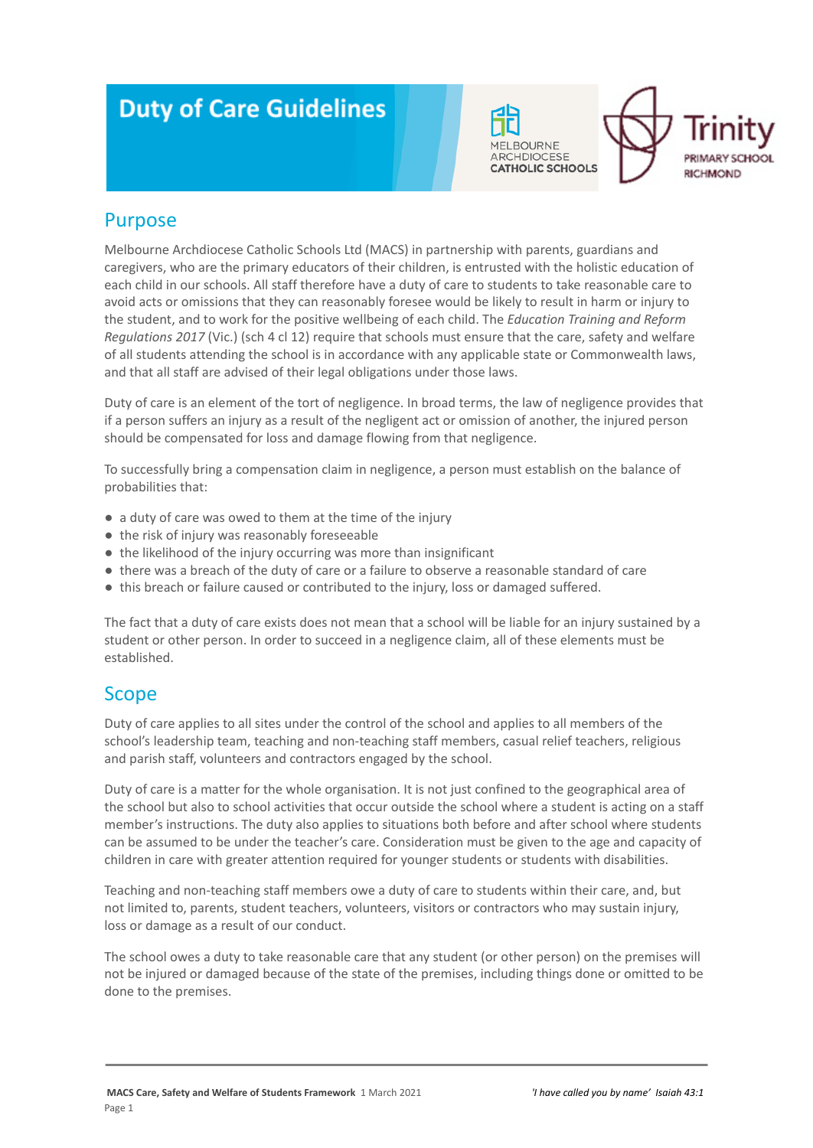# **Duty of Care Guidelines**



PRIMARY SCHOOL RICHMOND

## Purpose

Melbourne Archdiocese Catholic Schools Ltd (MACS) in partnership with parents, guardians and caregivers, who are the primary educators of their children, is entrusted with the holistic education of each child in our schools. All staff therefore have a duty of care to students to take reasonable care to avoid acts or omissions that they can reasonably foresee would be likely to result in harm or injury to the student, and to work for the positive wellbeing of each child. The *Education Training and Reform Regulations 2017* (Vic.) (sch 4 cl 12) require that schools must ensure that the care, safety and welfare of all students attending the school is in accordance with any applicable state or Commonwealth laws, and that all staff are advised of their legal obligations under those laws.

Duty of care is an element of the tort of negligence. In broad terms, the law of negligence provides that if a person suffers an injury as a result of the negligent act or omission of another, the injured person should be compensated for loss and damage flowing from that negligence.

To successfully bring a compensation claim in negligence, a person must establish on the balance of probabilities that:

- a duty of care was owed to them at the time of the injury
- the risk of injury was reasonably foreseeable
- the likelihood of the injury occurring was more than insignificant
- there was a breach of the duty of care or a failure to observe a reasonable standard of care
- this breach or failure caused or contributed to the injury, loss or damaged suffered.

The fact that a duty of care exists does not mean that a school will be liable for an injury sustained by a student or other person. In order to succeed in a negligence claim, all of these elements must be established.

## **Scope**

Duty of care applies to all sites under the control of the school and applies to all members of the school's leadership team, teaching and non-teaching staff members, casual relief teachers, religious and parish staff, volunteers and contractors engaged by the school.

Duty of care is a matter for the whole organisation. It is not just confined to the geographical area of the school but also to school activities that occur outside the school where a student is acting on a staff member's instructions. The duty also applies to situations both before and after school where students can be assumed to be under the teacher's care. Consideration must be given to the age and capacity of children in care with greater attention required for younger students or students with disabilities.

Teaching and non-teaching staff members owe a duty of care to students within their care, and, but not limited to, parents, student teachers, volunteers, visitors or contractors who may sustain injury, loss or damage as a result of our conduct.

The school owes a duty to take reasonable care that any student (or other person) on the premises will not be injured or damaged because of the state of the premises, including things done or omitted to be done to the premises.